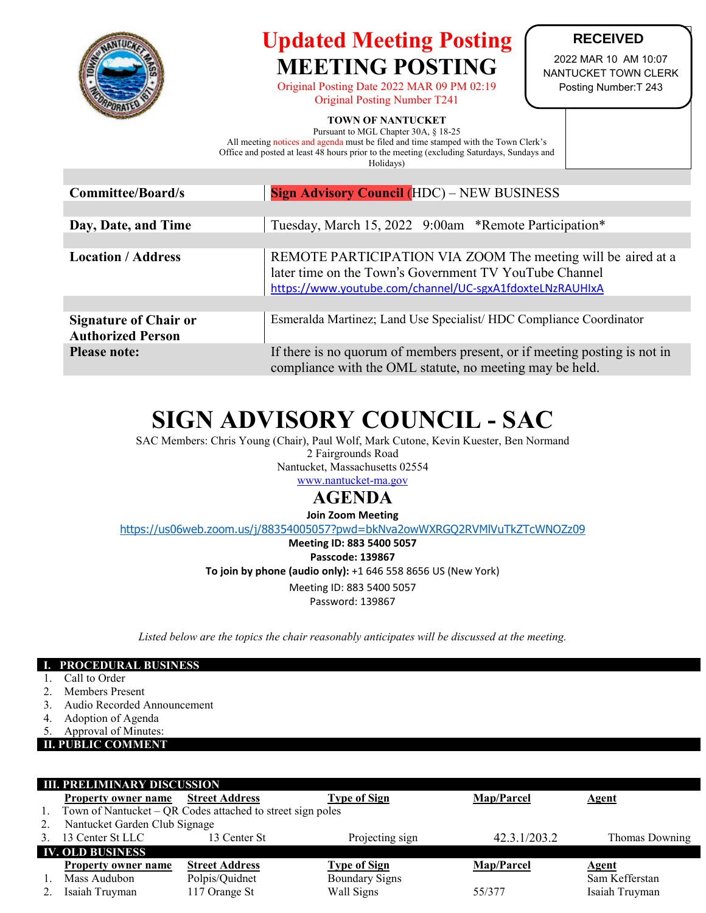

## **Updated Meeting Posting MEETING POSTING**

Original Posting Date 2022 MAR 09 PM 02:19 Original Posting Number T241

### **RECEIVED**

2022 MAR 10 AM 10:07 NANTUCKET TOWN CLERK Posting Number:T 243

### **TOWN OF NANTUCKET**

Pursuant to MGL Chapter 30A, § 18-25 All meeting notices and agenda must be filed and time stamped with the Town Clerk's Office and posted at least 48 hours prior to the meeting (excluding Saturdays, Sundays and Holidays)

| <b>Committee/Board/s</b>                                 | <b>Sign Advisory Council (HDC) – NEW BUSINESS</b>                                                                                                                                  |  |  |  |
|----------------------------------------------------------|------------------------------------------------------------------------------------------------------------------------------------------------------------------------------------|--|--|--|
|                                                          |                                                                                                                                                                                    |  |  |  |
| Day, Date, and Time                                      | Tuesday, March 15, 2022 9:00am *Remote Participation*                                                                                                                              |  |  |  |
|                                                          |                                                                                                                                                                                    |  |  |  |
| <b>Location / Address</b>                                | REMOTE PARTICIPATION VIA ZOOM The meeting will be aired at a<br>later time on the Town's Government TV YouTube Channel<br>https://www.youtube.com/channel/UC-sgxA1fdoxteLNzRAUHIxA |  |  |  |
|                                                          |                                                                                                                                                                                    |  |  |  |
| <b>Signature of Chair or</b><br><b>Authorized Person</b> | Esmeralda Martinez; Land Use Specialist/HDC Compliance Coordinator                                                                                                                 |  |  |  |
| <b>Please note:</b>                                      | If there is no quorum of members present, or if meeting posting is not in<br>compliance with the OML statute, no meeting may be held.                                              |  |  |  |

# **SIGN ADVISORY COUNCIL - SAC**

SAC Members: Chris Young (Chair), Paul Wolf, Mark Cutone, Kevin Kuester, Ben Normand 2 Fairgrounds Road Nantucket, Massachusetts 02554 [www.nantucket-ma.gov](http://www.nantucket-ma.gov/)

### **AGENDA**

**Join Zoom Meeting**

<https://us06web.zoom.us/j/88354005057?pwd=bkNva2owWXRGQ2RVMlVuTkZTcWNOZz09>

**Meeting ID: 883 5400 5057 Passcode: 139867 To join by phone (audio only):** +1 646 558 8656 US (New York) Meeting ID: 883 5400 5057

Password: 139867

*Listed below are the topics the chair reasonably anticipates will be discussed at the meeting.*

### **I. PROCEDURAL BUSINESS**

- 1. Call to Order
- 2. Members Present
- 3. Audio Recorded Announcement
- 4. Adoption of Agenda
- 5. Approval of Minutes:

#### **II. PUBLIC COMMENT**

| <b>III. PRELIMINARY DISCUSSION</b> |                                                            |                       |                       |                   |                |  |  |
|------------------------------------|------------------------------------------------------------|-----------------------|-----------------------|-------------------|----------------|--|--|
|                                    | <b>Property owner name</b>                                 | <b>Street Address</b> | <b>Type of Sign</b>   | Map/Parcel        | Agent          |  |  |
| 1.                                 | Town of Nantucket – QR Codes attached to street sign poles |                       |                       |                   |                |  |  |
| 2.                                 | Nantucket Garden Club Signage                              |                       |                       |                   |                |  |  |
| 3.                                 | 13 Center St LLC                                           | 13 Center St          | Projecting sign       | 42.3.1/203.2      | Thomas Downing |  |  |
| <b>IV. OLD BUSINESS</b>            |                                                            |                       |                       |                   |                |  |  |
|                                    | <b>Property owner name</b>                                 | <b>Street Address</b> | <b>Type of Sign</b>   | <b>Map/Parcel</b> | <b>Agent</b>   |  |  |
|                                    | Mass Audubon                                               | Polpis/Quidnet        | <b>Boundary Signs</b> |                   | Sam Kefferstan |  |  |
|                                    | Isaiah Truyman                                             | 117 Orange St         | Wall Signs            | 55/377            | Isaiah Truyman |  |  |